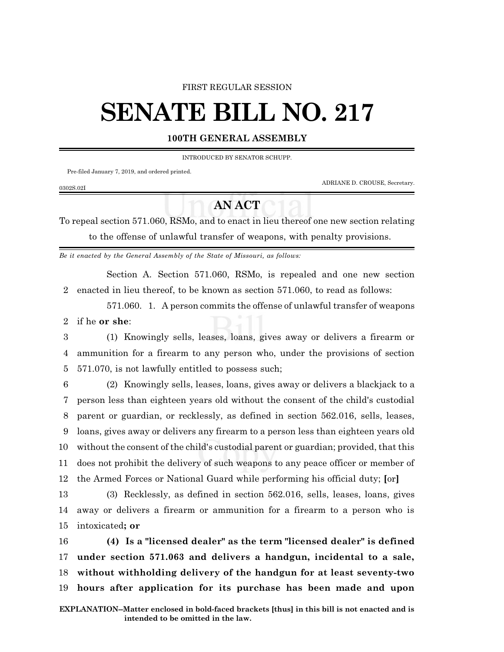## FIRST REGULAR SESSION

## **SENATE BILL NO. 217**

## **100TH GENERAL ASSEMBLY**

INTRODUCED BY SENATOR SCHUPP.

Pre-filed January 7, 2019, and ordered printed.

0302S.02I

ADRIANE D. CROUSE, Secretary.

## **AN ACT**

To repeal section 571.060, RSMo, and to enact in lieu thereof one new section relating to the offense of unlawful transfer of weapons, with penalty provisions.

*Be it enacted by the General Assembly of the State of Missouri, as follows:*

Section A. Section 571.060, RSMo, is repealed and one new section 2 enacted in lieu thereof, to be known as section 571.060, to read as follows:

571.060. 1. A person commits the offense of unlawful transfer of weapons 2 if he **or she**:

3 (1) Knowingly sells, leases, loans, gives away or delivers a firearm or 4 ammunition for a firearm to any person who, under the provisions of section 5 571.070, is not lawfully entitled to possess such;

 (2) Knowingly sells, leases, loans, gives away or delivers a blackjack to a person less than eighteen years old without the consent of the child's custodial parent or guardian, or recklessly, as defined in section 562.016, sells, leases, loans, gives away or delivers any firearm to a person less than eighteen years old without the consent of the child's custodial parent or guardian; provided, that this does not prohibit the delivery of such weapons to any peace officer or member of the Armed Forces or National Guard while performing his official duty; **[**or**]**

13 (3) Recklessly, as defined in section 562.016, sells, leases, loans, gives 14 away or delivers a firearm or ammunition for a firearm to a person who is 15 intoxicated**; or**

 **(4) Is a "licensed dealer" as the term "licensed dealer" is defined under section 571.063 and delivers a handgun, incidental to a sale, without withholding delivery of the handgun for at least seventy-two hours after application for its purchase has been made and upon**